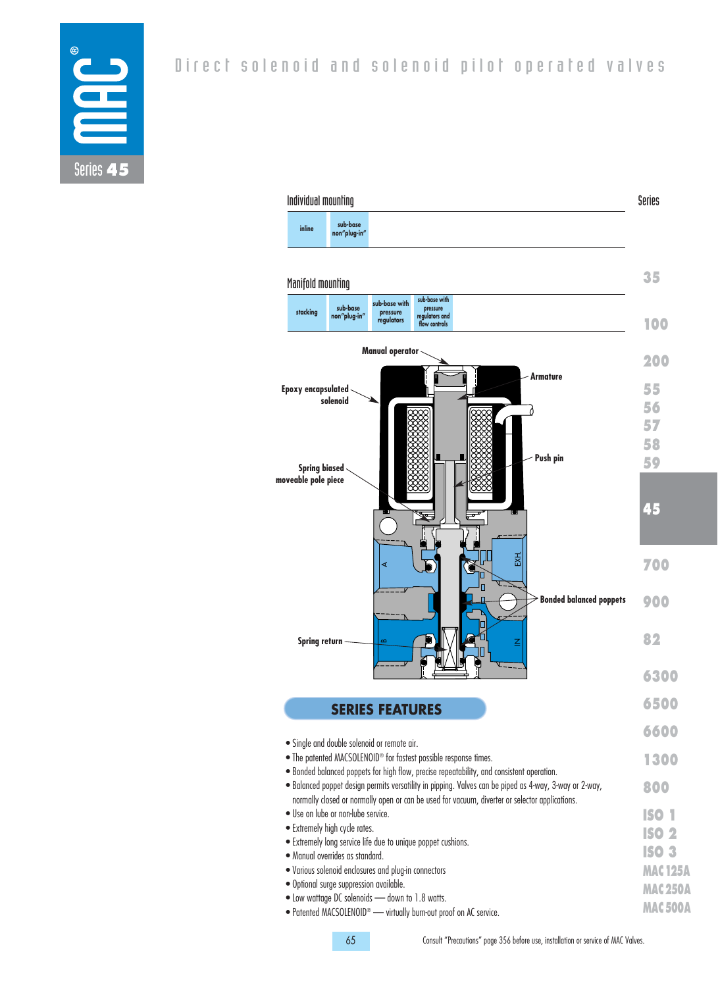

| Individual mounting                         |                                                                                                                 |                                         |                                                              |                                                                               |                                                                                                |                                                                                                        | Series         |
|---------------------------------------------|-----------------------------------------------------------------------------------------------------------------|-----------------------------------------|--------------------------------------------------------------|-------------------------------------------------------------------------------|------------------------------------------------------------------------------------------------|--------------------------------------------------------------------------------------------------------|----------------|
| inline                                      | sub-base<br>non"plug-in"                                                                                        |                                         |                                                              |                                                                               |                                                                                                |                                                                                                        |                |
| Manifold mounting                           |                                                                                                                 |                                         |                                                              |                                                                               |                                                                                                |                                                                                                        | 35             |
| stacking                                    | sub-base<br>non"plug-in"                                                                                        | sub-base with<br>pressure<br>regulators | sub-base with<br>pressure<br>regulators and<br>flow controls |                                                                               |                                                                                                |                                                                                                        | 100            |
|                                             |                                                                                                                 | <b>Manual operator</b>                  |                                                              |                                                                               |                                                                                                |                                                                                                        | 200            |
| <b>Epoxy encapsulated</b>                   |                                                                                                                 |                                         |                                                              |                                                                               | <b>Armature</b>                                                                                |                                                                                                        | 55             |
|                                             | solenoid                                                                                                        |                                         |                                                              |                                                                               |                                                                                                |                                                                                                        | 56<br>57       |
|                                             |                                                                                                                 |                                         |                                                              |                                                                               | Push pin                                                                                       |                                                                                                        | 58             |
| <b>Spring biased</b><br>moveable pole piece |                                                                                                                 |                                         |                                                              |                                                                               |                                                                                                |                                                                                                        | 59             |
|                                             |                                                                                                                 |                                         |                                                              |                                                                               | ш                                                                                              |                                                                                                        | 45             |
|                                             |                                                                                                                 | ⋖                                       |                                                              |                                                                               | 졌                                                                                              |                                                                                                        | 700            |
|                                             |                                                                                                                 |                                         |                                                              | Π                                                                             |                                                                                                | <b>Bonded balanced poppets</b>                                                                         | 900            |
| <b>Spring return</b>                        |                                                                                                                 | $\mathbf{\Omega}$                       |                                                              |                                                                               | Ζ                                                                                              |                                                                                                        | 82             |
|                                             |                                                                                                                 |                                         |                                                              |                                                                               |                                                                                                |                                                                                                        | 6300           |
|                                             |                                                                                                                 | <b>SERIES FEATURES</b>                  |                                                              |                                                                               |                                                                                                |                                                                                                        | 650            |
|                                             |                                                                                                                 |                                         |                                                              |                                                                               |                                                                                                |                                                                                                        | 6600           |
|                                             | · Single and double solenoid or remote air.<br>. The patented MACSOLENOID® for fastest possible response times. |                                         |                                                              |                                                                               | . Bonded balanced poppets for high flow, precise repeatability, and consistent operation.      |                                                                                                        | 1300           |
|                                             |                                                                                                                 |                                         |                                                              |                                                                               | normally closed or normally open or can be used for vacuum, diverter or selector applications. | . Balanced poppet design permits versatility in pipping. Valves can be piped as 4-way, 3-way or 2-way, | 800            |
|                                             | · Use on lube or non-lube service.                                                                              |                                         |                                                              |                                                                               |                                                                                                |                                                                                                        | <b>ISO 1</b>   |
|                                             | • Extremely high cycle rates.<br>• Extremely long service life due to unique poppet cushions.                   |                                         |                                                              |                                                                               |                                                                                                |                                                                                                        | <b>ISO 2</b>   |
|                                             | · Manual overrides as standard.                                                                                 |                                         |                                                              |                                                                               |                                                                                                |                                                                                                        | <b>ISO 3</b>   |
|                                             | . Various solenoid enclosures and plug-in connectors                                                            |                                         |                                                              |                                                                               |                                                                                                |                                                                                                        | <b>MAC125A</b> |
|                                             | · Optional surge suppression available.<br>. Low wattage DC solenoids - down to 1.8 watts.                      |                                         |                                                              |                                                                               |                                                                                                |                                                                                                        | <b>MAC250A</b> |
|                                             |                                                                                                                 |                                         |                                                              | · Patented MACSOLENOID <sup>®</sup> - virtually burn-out proof on AC service. |                                                                                                |                                                                                                        | <b>MAC500A</b> |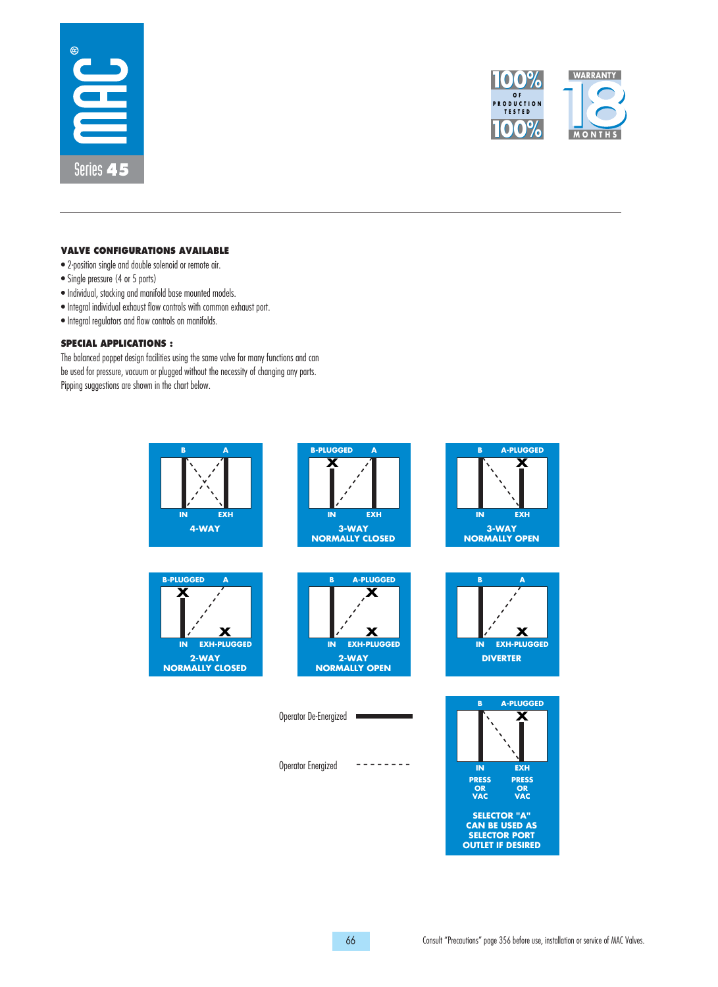



## **VALVE CONFIGURATIONS AVAILABLE**

- 2-position single and double solenoid or remote air.
- Single pressure (4 or 5 ports)
- Individual, stacking and manifold base mounted models.
- Integral individual exhaust flow controls with common exhaust port.
- Integral regulators and flow controls on manifolds.

### **SPECIAL APPLICATIONS :**

The balanced poppet design facilities using the same valve for many functions and can be used for pressure, vacuum or plugged without the necessity of changing any parts. Pipping suggestions are shown in the chart below.

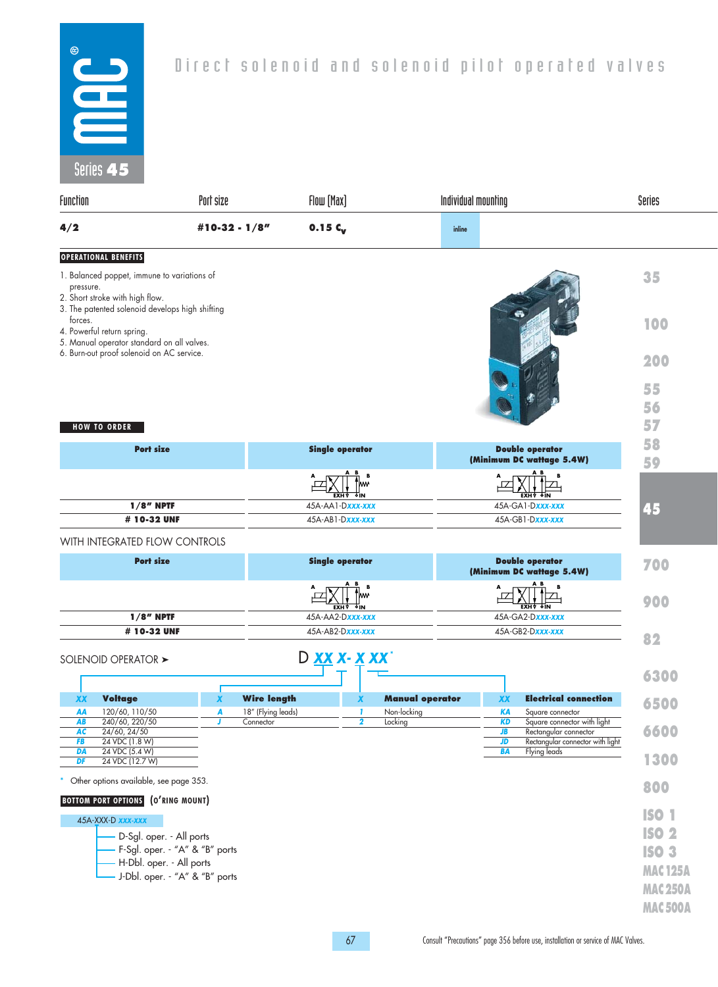

| Series 45                                                                                                                              |                                           |                                |                        |                                                     |                                                                                                  |
|----------------------------------------------------------------------------------------------------------------------------------------|-------------------------------------------|--------------------------------|------------------------|-----------------------------------------------------|--------------------------------------------------------------------------------------------------|
| Function                                                                                                                               | Port size                                 | Flow [Max]                     |                        | Individual mounting                                 | Series                                                                                           |
| 4/2                                                                                                                                    | #10-32 - $1/8"$                           | 0.15 $c_v$                     |                        | inline                                              |                                                                                                  |
| <b>OPERATIONAL BENEFITS</b>                                                                                                            |                                           |                                |                        |                                                     |                                                                                                  |
| 1. Balanced poppet, immune to variations of<br>pressure.<br>2. Short stroke with high flow.                                            |                                           |                                |                        |                                                     | 35                                                                                               |
| 3. The patented solenoid develops high shifting<br>forces.<br>4. Powerful return spring.<br>5. Manual operator standard on all valves. |                                           |                                |                        |                                                     | 100                                                                                              |
| 6. Burn-out proof solenoid on AC service.                                                                                              |                                           |                                |                        |                                                     | 200                                                                                              |
|                                                                                                                                        |                                           |                                |                        |                                                     | 55                                                                                               |
|                                                                                                                                        |                                           |                                |                        |                                                     | 56                                                                                               |
| <b>HOW TO ORDER</b>                                                                                                                    |                                           |                                |                        |                                                     | 57                                                                                               |
| <b>Port size</b>                                                                                                                       |                                           | <b>Single operator</b>         |                        | <b>Double operator</b><br>(Minimum DC wattage 5.4W) | 58<br>59                                                                                         |
|                                                                                                                                        |                                           |                                |                        |                                                     |                                                                                                  |
| $1/8$ " NPTF                                                                                                                           |                                           | δIΝ<br>45A-AA1-Dxxx-xxx        |                        | 45A-GA1-Dxxx-xxx                                    | 45                                                                                               |
| # 10-32 UNF                                                                                                                            |                                           | 45A-AB1-Dxxx-xxx               |                        | 45A-GB1-Dxxx-xxx                                    |                                                                                                  |
| WITH INTEGRATED FLOW CONTROLS                                                                                                          |                                           |                                |                        |                                                     |                                                                                                  |
| <b>Port size</b>                                                                                                                       |                                           | <b>Single operator</b>         |                        | <b>Double operator</b><br>(Minimum DC wattage 5.4W) | 700                                                                                              |
|                                                                                                                                        |                                           | M۷                             |                        |                                                     |                                                                                                  |
| $1/8$ " NPTF                                                                                                                           |                                           | <b>FXH</b><br>45A-AA2-Dxxx-xxx |                        | 45A-GA2-Dxxx-xxx                                    | 900                                                                                              |
| # 10-32 UNF                                                                                                                            |                                           | 45A-AB2-Dxxx-xxx               |                        | 45A-GB2-Dxxx-xxx                                    | 82                                                                                               |
| SOLENOID OPERATOR >                                                                                                                    |                                           | D XX X- X XX                   |                        |                                                     |                                                                                                  |
|                                                                                                                                        |                                           |                                |                        |                                                     | 6300                                                                                             |
| <b>Voltage</b><br>XX                                                                                                                   | <b>Wire length</b><br>X                   | X                              | <b>Manual operator</b> | XX                                                  | <b>Electrical connection</b><br>6500                                                             |
| 120/60, 110/50<br>AA<br>240/60, 220/50<br>AB<br>AC<br>24/60, 24/50<br>FB<br>24 VDC (1.8 W)                                             | 18" (Flying leads)<br>A<br>Connector<br>J | -1<br>$\overline{\mathbf{2}}$  | Non-locking<br>Locking | <b>KA</b><br>Square connector<br>KD<br>JB<br>JD     | Square connector with light<br>6600<br>Rectangular connector<br>Rectangular connector with light |
| DA<br>24 VDC (5.4 W)<br>DF<br>24 VDC (12.7 W)                                                                                          |                                           |                                |                        | <b>BA</b><br><b>Flying leads</b>                    | 1300                                                                                             |
| Other options available, see page 353.                                                                                                 |                                           |                                |                        |                                                     | 800                                                                                              |
| <b>BOTTOM PORT OPTIONS</b> (O'RING MOUNT)                                                                                              |                                           |                                |                        |                                                     |                                                                                                  |
| 45A-XXX-D xxx-xxx                                                                                                                      |                                           |                                |                        |                                                     | <b>ISO 1</b>                                                                                     |
| D-Sgl. oper. - All ports                                                                                                               |                                           |                                |                        |                                                     | <b>ISO 2</b>                                                                                     |
| H-Dbl. oper. - All ports                                                                                                               | F-Sgl. oper. - "A" & "B" ports            |                                |                        |                                                     | <b>ISO 3</b>                                                                                     |
|                                                                                                                                        | - J-Dbl. oper. - "A" & "B" ports          |                                |                        |                                                     | <b>MAC125A</b>                                                                                   |
|                                                                                                                                        |                                           |                                |                        |                                                     | <b>MAC250A</b>                                                                                   |
|                                                                                                                                        |                                           |                                |                        |                                                     | <b>MAC 500A</b>                                                                                  |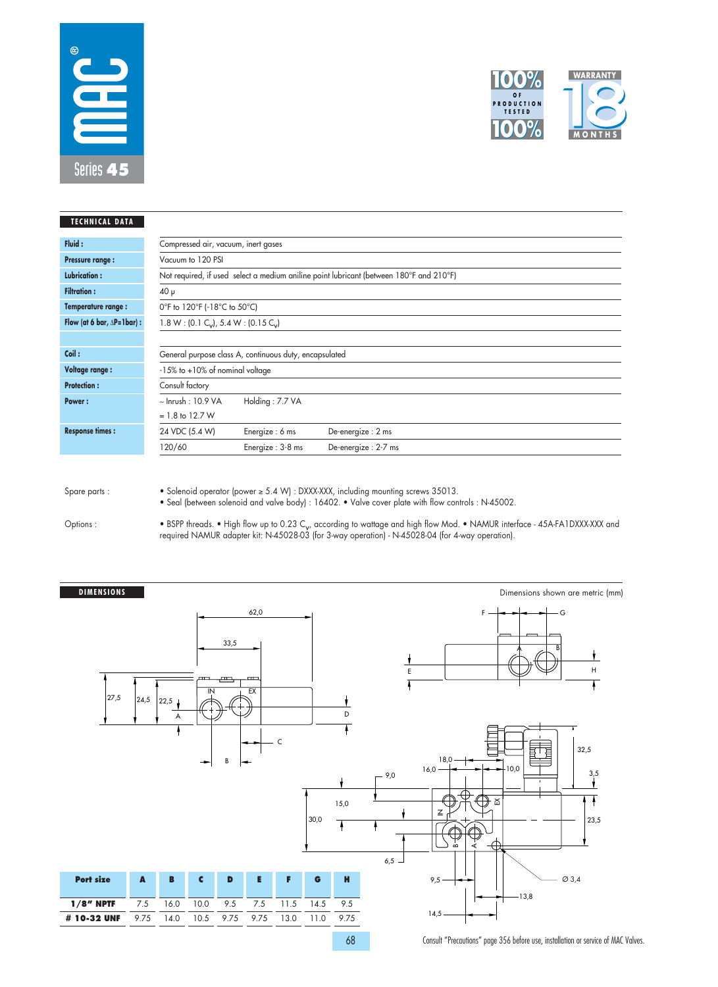



| <b>TECHNICAL DATA</b>                |                                       |                                                               |                                                                                         |  |  |  |  |  |
|--------------------------------------|---------------------------------------|---------------------------------------------------------------|-----------------------------------------------------------------------------------------|--|--|--|--|--|
| Fluid:                               | Compressed air, vacuum, inert gases   |                                                               |                                                                                         |  |  |  |  |  |
| <b>Pressure range:</b>               | Vacuum to 120 PSI                     |                                                               |                                                                                         |  |  |  |  |  |
| <b>Lubrication:</b>                  |                                       |                                                               | Not required, if used select a medium aniline point lubricant (between 180°F and 210°F) |  |  |  |  |  |
| <b>Filtration:</b>                   | $40 \mu$                              |                                                               |                                                                                         |  |  |  |  |  |
| Temperature range:                   |                                       | 0°F to 120°F (-18°C to 50°C)                                  |                                                                                         |  |  |  |  |  |
| Flow (at 6 bar, $\Delta P = 1$ bar): |                                       | 1.8 W : (0.1 C <sub>v</sub> ), 5.4 W : (0.15 C <sub>v</sub> ) |                                                                                         |  |  |  |  |  |
|                                      |                                       |                                                               |                                                                                         |  |  |  |  |  |
| Coil:                                |                                       | General purpose class A, continuous duty, encapsulated        |                                                                                         |  |  |  |  |  |
| Voltage range :                      | $-15\%$ to $+10\%$ of nominal voltage |                                                               |                                                                                         |  |  |  |  |  |
| <b>Protection:</b>                   | Consult factory                       |                                                               |                                                                                         |  |  |  |  |  |
| Power:                               | $\sim$ Inrush: 10.9 VA                | Holding: 7.7 VA                                               |                                                                                         |  |  |  |  |  |
|                                      | $= 1.8$ to 12.7 W                     |                                                               |                                                                                         |  |  |  |  |  |
| <b>Response times:</b>               | 24 VDC (5.4 W)                        | Energize: 6 ms                                                | De-energize: 2 ms                                                                       |  |  |  |  |  |
|                                      | 120/60                                | Energize: 3-8 ms                                              | De-energize: 2-7 ms                                                                     |  |  |  |  |  |
|                                      |                                       |                                                               |                                                                                         |  |  |  |  |  |

Options :

• Solenoid operator (power ≥ 5.4 W) : DXXX-XXX, including mounting screws 35013.

• Seal (between solenoid and valve body) : 16402. • Valve cover plate with flow controls : N-45002.

• BSPP threads. • High tlow up to 0.23 C<sub>v</sub>, according to wattage and high tlow Mod. • NAMUR intertace - 45A-FA1DXXX-XXX and<br>required NAMUR adapter kit: N-45028-03 (for 3-way operation) - N-45028-04 (for 4-way operation).



68 Consult "Precautions" page 356 before use, installation or service of MAC Valves.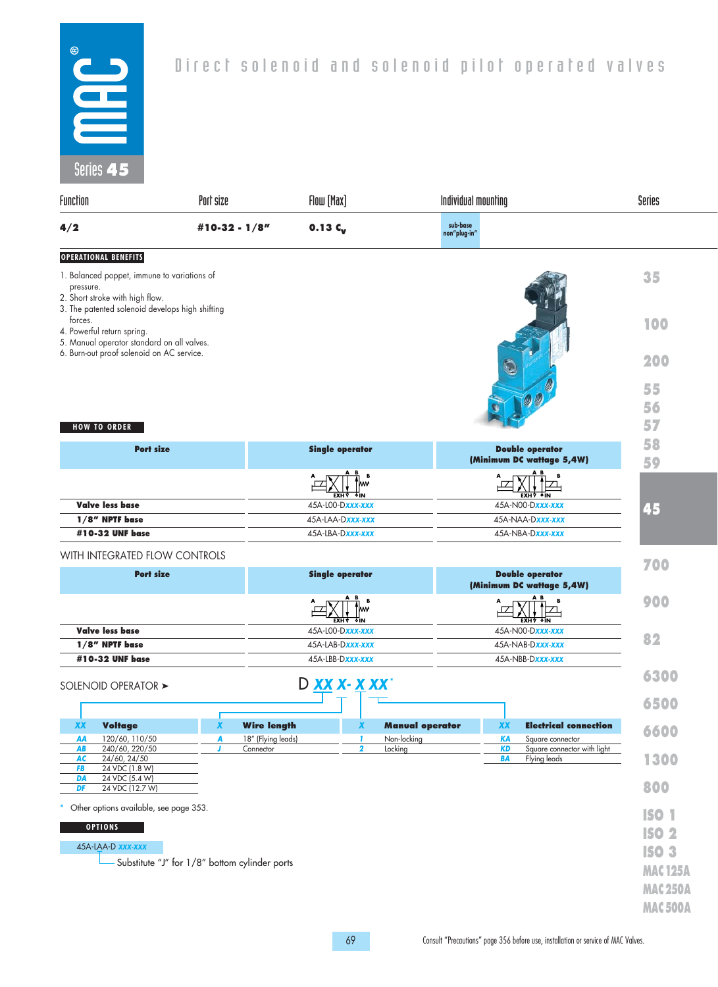

| $JUU$ $45$                                                                                                                                     |                                               |                                                        |                                                                           |                |
|------------------------------------------------------------------------------------------------------------------------------------------------|-----------------------------------------------|--------------------------------------------------------|---------------------------------------------------------------------------|----------------|
| Function                                                                                                                                       | Port size                                     | Flow [Max]                                             | Individual mounting                                                       | Series         |
| 4/2                                                                                                                                            | $0.13C_{v}$<br>#10-32 - $1/8"$                |                                                        | sub-base<br>non"plug-in"                                                  |                |
| <b>OPERATIONAL BENEFITS</b>                                                                                                                    |                                               |                                                        |                                                                           |                |
| 1. Balanced poppet, immune to variations of<br>pressure.<br>2. Short stroke with high flow.<br>3. The patented solenoid develops high shifting |                                               |                                                        |                                                                           | 35             |
| forces.<br>4. Powerful return spring.<br>5. Manual operator standard on all valves.                                                            |                                               |                                                        |                                                                           | 100            |
| 6. Burn-out proof solenoid on AC service.                                                                                                      |                                               |                                                        |                                                                           | 200            |
|                                                                                                                                                |                                               |                                                        |                                                                           | 55             |
|                                                                                                                                                |                                               |                                                        |                                                                           | 56             |
| <b>HOW TO ORDER</b>                                                                                                                            |                                               |                                                        |                                                                           | 57             |
|                                                                                                                                                |                                               |                                                        |                                                                           | 58             |
| <b>Port size</b>                                                                                                                               |                                               | <b>Single operator</b>                                 | <b>Double operator</b><br>(Minimum DC wattage 5,4W)                       | 59             |
|                                                                                                                                                |                                               | ⊺lww<br>EXH Y OIN                                      | <b>EXHY OIN</b>                                                           |                |
| <b>Valve less base</b>                                                                                                                         |                                               | 45A-LOO-Dxxx-xxx                                       | 45A-N00-Dxxx-xxx                                                          | 45             |
| 1/8" NPTF base                                                                                                                                 |                                               | 45A-LAA-Dxxx-xxx                                       | 45A-NAA-Dxxx-xxx                                                          |                |
| #10-32 UNF base                                                                                                                                |                                               | 45A-LBA-Dxxx-xxx                                       | 45A-NBA-Dxxx-xxx                                                          |                |
| WITH INTEGRATED FLOW CONTROLS                                                                                                                  |                                               |                                                        |                                                                           | 700            |
| <b>Port size</b>                                                                                                                               |                                               | <b>Single operator</b>                                 | <b>Double operator</b><br>(Minimum DC wattage 5,4W)                       |                |
|                                                                                                                                                |                                               | W۳<br><u>EXH A</u> QIM                                 | EXHY OIN                                                                  | 900            |
| <b>Valve less base</b>                                                                                                                         |                                               | 45A-LOO-Dxxx-xxx                                       | 45A-N00-Dxxx-xxx                                                          | 82             |
| 1/8" NPTF base                                                                                                                                 |                                               | 45A-LAB-Dxxx-xxx                                       | 45A-NAB-Dxxx-xxx                                                          |                |
| #10-32 UNF base                                                                                                                                |                                               | 45A-LBB-Dxxx-xxx                                       | 45A-NBB-Dxxx-xxx                                                          |                |
| SOLENOID OPERATOR >                                                                                                                            |                                               |                                                        |                                                                           | 6300           |
|                                                                                                                                                |                                               |                                                        |                                                                           | 6500           |
| <b>Voltage</b><br>XX                                                                                                                           | <b>Wire length</b><br>X                       | X                                                      | <b>Manual operator</b><br><b>Electrical connection</b><br>XX              | 6600           |
| 120/60, 110/50<br>AA<br>240/60, 220/50<br>AB                                                                                                   | A<br>18" (Flying leads)<br>Connector<br>J     | Non-locking<br>1<br>$\overline{\mathbf{2}}$<br>Locking | <b>KA</b><br>Square connector<br><b>KD</b><br>Square connector with light |                |
| 24/60, 24/50<br>AC<br>24 VDC (1.8 W)<br>FB                                                                                                     |                                               |                                                        | BA<br>Flying leads                                                        | 1300           |
| DA<br>24 VDC (5.4 W)<br>24 VDC (12.7 W)<br>DF                                                                                                  |                                               |                                                        |                                                                           | 800            |
| Other options available, see page 353.                                                                                                         |                                               |                                                        |                                                                           |                |
| <b>OPTIONS</b>                                                                                                                                 |                                               |                                                        |                                                                           | <b>ISO 1</b>   |
| 45A-LAA-D xxx-xxx                                                                                                                              |                                               |                                                        |                                                                           | <b>ISO 2</b>   |
|                                                                                                                                                | Substitute "J" for 1/8" bottom cylinder ports |                                                        |                                                                           | <b>ISO 3</b>   |
|                                                                                                                                                |                                               |                                                        |                                                                           | <b>MAC125A</b> |
|                                                                                                                                                |                                               |                                                        |                                                                           | <b>MAC250A</b> |
|                                                                                                                                                |                                               |                                                        |                                                                           | <b>MAC500A</b> |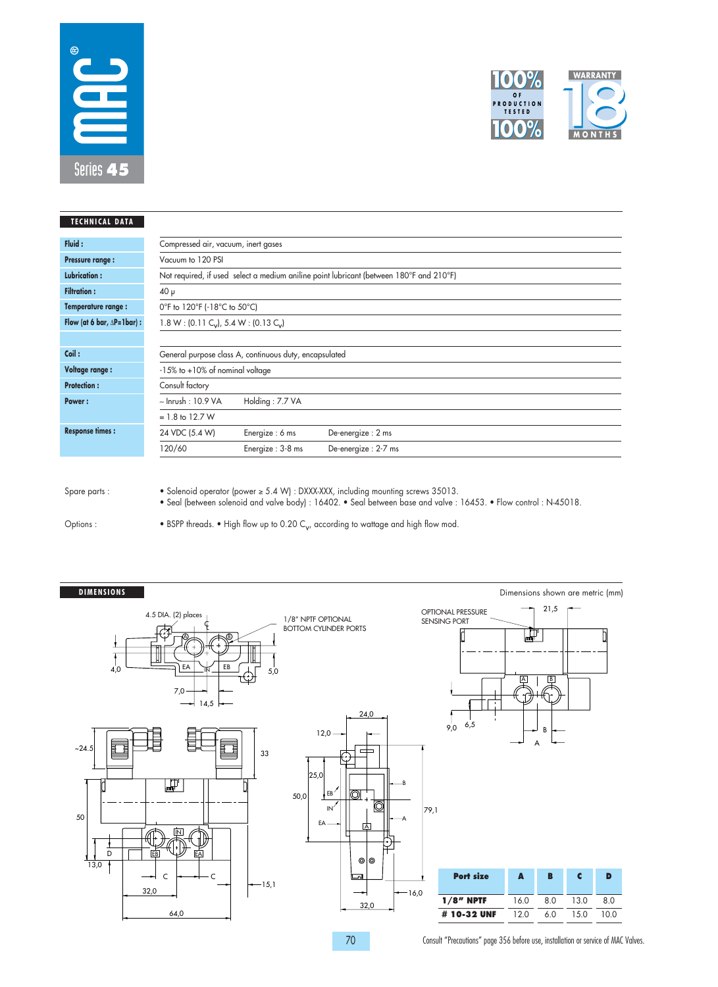



| <b>TECHNICAL DATA</b>                |                                                                 |                                                        |                                                                                         |  |  |  |  |
|--------------------------------------|-----------------------------------------------------------------|--------------------------------------------------------|-----------------------------------------------------------------------------------------|--|--|--|--|
| Fluid:                               | Compressed air, vacuum, inert gases                             |                                                        |                                                                                         |  |  |  |  |
| <b>Pressure range:</b>               | Vacuum to 120 PSI                                               |                                                        |                                                                                         |  |  |  |  |
| <b>Lubrication:</b>                  |                                                                 |                                                        | Not required, if used select a medium aniline point lubricant (between 180°F and 210°F) |  |  |  |  |
| <b>Filtration:</b>                   | $40 \mu$                                                        |                                                        |                                                                                         |  |  |  |  |
| Temperature range:                   |                                                                 | 0°F to 120°F (-18°C to 50°C)                           |                                                                                         |  |  |  |  |
| Flow (at 6 bar, $\Delta P = 1$ bar): | $1.8 W$ : (0.11 C <sub>v</sub> ), 5.4 W: (0.13 C <sub>v</sub> ) |                                                        |                                                                                         |  |  |  |  |
|                                      |                                                                 |                                                        |                                                                                         |  |  |  |  |
| Coil:                                |                                                                 | General purpose class A, continuous duty, encapsulated |                                                                                         |  |  |  |  |
| <b>Voltage range:</b>                | $-15\%$ to $+10\%$ of nominal voltage                           |                                                        |                                                                                         |  |  |  |  |
| <b>Protection:</b>                   | Consult factory                                                 |                                                        |                                                                                         |  |  |  |  |
| Power:                               | $\sim$ Inrush : 10.9 VA                                         | Holding: 7.7 VA                                        |                                                                                         |  |  |  |  |
|                                      | $= 1.8$ to 12.7 W                                               |                                                        |                                                                                         |  |  |  |  |
| <b>Response times:</b>               | 24 VDC (5.4 W)                                                  | Energize: 6 ms                                         | De-energize: 2 ms                                                                       |  |  |  |  |
|                                      | 120/60                                                          | Energize: 3-8 ms                                       | De-energize: 2-7 ms                                                                     |  |  |  |  |
|                                      |                                                                 |                                                        |                                                                                         |  |  |  |  |

• Solenoid operator (power ≥ 5.4 W) : DXXX-XXX, including mounting screws 35013.

• Seal (between solenoid and valve body) : 16402. • Seal between base and valve : 16453. • Flow control : N-45018.

Options :

• BSPP threads. • High flow up to 0.20  $C_V$ , according to wattage and high flow mod.



70 Consult "Precautions" page 356 before use, installation or service of MAC Valves.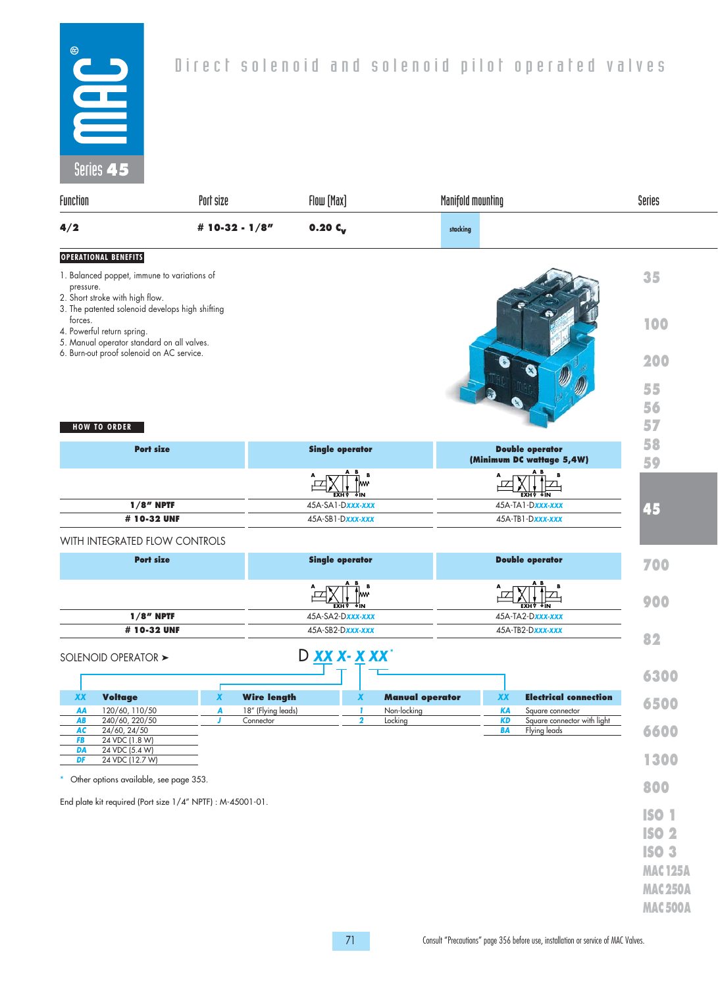

| $JUUUJ - U$                                                                                                                                                                                                                                                    |                                                            |                                          |                                                               |                          |                                                                                      |                                                    |                                                                                                    |
|----------------------------------------------------------------------------------------------------------------------------------------------------------------------------------------------------------------------------------------------------------------|------------------------------------------------------------|------------------------------------------|---------------------------------------------------------------|--------------------------|--------------------------------------------------------------------------------------|----------------------------------------------------|----------------------------------------------------------------------------------------------------|
| Function                                                                                                                                                                                                                                                       | Port size                                                  |                                          | Flow [Max]                                                    |                          | Manifold mounting                                                                    | Series                                             |                                                                                                    |
| 4/2                                                                                                                                                                                                                                                            |                                                            | # 10-32 - 1/8"                           | $0.20C_V$                                                     |                          |                                                                                      |                                                    |                                                                                                    |
| <b>OPERATIONAL BENEFITS</b><br>1. Balanced poppet, immune to variations of<br>pressure.<br>2. Short stroke with high flow.<br>forces.<br>4. Powerful return spring.<br>5. Manual operator standard on all valves.<br>6. Burn-out proof solenoid on AC service. | 3. The patented solenoid develops high shifting            |                                          |                                                               |                          |                                                                                      |                                                    | 35<br>100<br>200<br>55<br>56                                                                       |
| <b>HOW TO ORDER</b>                                                                                                                                                                                                                                            | <b>Port size</b>                                           |                                          | <b>Single operator</b>                                        |                          | <b>Double operator</b>                                                               |                                                    | 57<br>58                                                                                           |
| $1/8$ " NPTF<br># 10-32 UNF                                                                                                                                                                                                                                    |                                                            |                                          | в<br><u>exha q</u> im<br>45A-SA1-Dxxx-xxx<br>45A-SB1-Dxxx-xxx |                          | (Minimum DC wattage 5,4W)<br><b>EXHV OIN</b><br>45A-TA1-Dxxx-xxx<br>45A-TB1-Dxxx-xxx |                                                    | 59<br>45                                                                                           |
|                                                                                                                                                                                                                                                                | WITH INTEGRATED FLOW CONTROLS                              |                                          |                                                               |                          |                                                                                      |                                                    |                                                                                                    |
|                                                                                                                                                                                                                                                                | <b>Port size</b>                                           |                                          | <b>Single operator</b>                                        |                          | <b>Double operator</b>                                                               |                                                    | 700                                                                                                |
|                                                                                                                                                                                                                                                                | $1/8''$ NPTF                                               |                                          | <b>EXH V</b><br>ΦIΝ<br>45A-SA2-Dxxx-xxx                       |                          | 45A-TA2-Dxxx-xxx                                                                     | <b>EXHV OIN</b>                                    | 900                                                                                                |
| SOLENOID OPERATOR >                                                                                                                                                                                                                                            | # 10-32 UNF                                                |                                          | 45A-SB2-Dxxx-xxx<br>D XX X- X XX                              |                          | 45A-TB2-Dxxx-xxx                                                                     |                                                    | 82                                                                                                 |
| XX Voltage<br>120/60, 110/50<br>AA                                                                                                                                                                                                                             | $\boldsymbol{x}$<br>A                                      | <b>Wire length</b><br>18" (Flying leads) | $\boldsymbol{X}$<br>1                                         | Manual of<br>Non-locking | XX<br>KА                                                                             | <b>Electrical connection</b><br>Square connector   | 6300<br>6500                                                                                       |
| 240/60, 220/50<br>AB<br>24/60, 24/50<br><b>AC</b><br>24 VDC (1.8 W)<br>FB<br>24 VDC (5.4 W)<br>DA                                                                                                                                                              | J                                                          | Connector                                | $\overline{\mathbf{2}}$                                       | Locking                  | <b>KD</b><br>BA                                                                      | Square connector with light<br><b>Flying leads</b> | 6600                                                                                               |
| 24 VDC (12.7 W)<br>DF<br>Other options available, see page 353.                                                                                                                                                                                                |                                                            |                                          |                                                               |                          |                                                                                      |                                                    | 1300<br>800                                                                                        |
|                                                                                                                                                                                                                                                                | End plate kit required (Port size 1/4" NPTF) : M-45001-01. |                                          |                                                               |                          |                                                                                      |                                                    | <b>ISO 1</b><br><b>ISO 2</b><br><b>ISO 3</b><br><b>MAC125A</b><br><b>MAC250A</b><br><b>MAC500A</b> |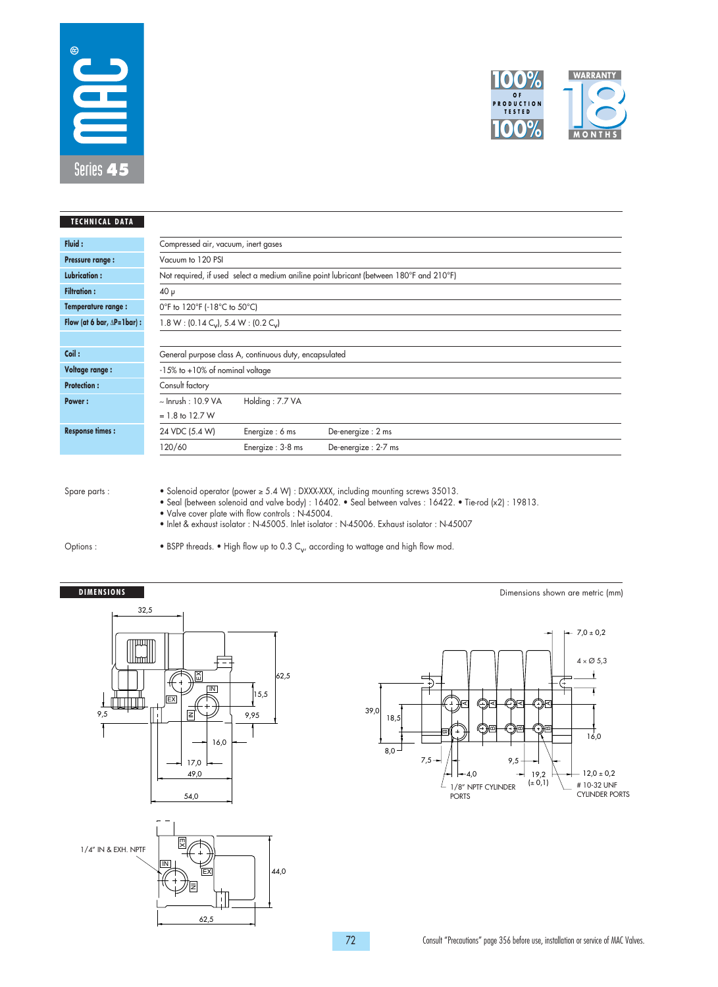



| <b>TECHNICAL DATA</b>                |                                       |                                                             |                                                                                         |  |  |  |  |  |  |
|--------------------------------------|---------------------------------------|-------------------------------------------------------------|-----------------------------------------------------------------------------------------|--|--|--|--|--|--|
| Fluid:                               | Compressed air, vacuum, inert gases   |                                                             |                                                                                         |  |  |  |  |  |  |
| <b>Pressure range:</b>               | Vacuum to 120 PSI                     |                                                             |                                                                                         |  |  |  |  |  |  |
| <b>Lubrication:</b>                  |                                       |                                                             | Not required, if used select a medium aniline point lubricant (between 180°F and 210°F) |  |  |  |  |  |  |
| <b>Filtration:</b>                   | $40 \mu$                              |                                                             |                                                                                         |  |  |  |  |  |  |
| Temperature range:                   | 0°F to 120°F (-18°C to 50°C)          |                                                             |                                                                                         |  |  |  |  |  |  |
| Flow (at 6 bar, $\Delta P = 1$ bar): |                                       | 1.8 W: (0.14 C <sub>v</sub> ), 5.4 W: (0.2 C <sub>v</sub> ) |                                                                                         |  |  |  |  |  |  |
|                                      |                                       |                                                             |                                                                                         |  |  |  |  |  |  |
| Coil:                                |                                       | General purpose class A, continuous duty, encapsulated      |                                                                                         |  |  |  |  |  |  |
| <b>Voltage range:</b>                | $-15\%$ to $+10\%$ of nominal voltage |                                                             |                                                                                         |  |  |  |  |  |  |
| <b>Protection:</b>                   | Consult factory                       |                                                             |                                                                                         |  |  |  |  |  |  |
| Power:                               | $\sim$ Inrush: 10.9 VA                | Holding: 7.7 VA                                             |                                                                                         |  |  |  |  |  |  |
|                                      | $= 1.8$ to 12.7 W                     |                                                             |                                                                                         |  |  |  |  |  |  |
| <b>Response times:</b>               | 24 VDC (5.4 W)                        | Energize: 6 ms                                              | De-energize: 2 ms                                                                       |  |  |  |  |  |  |
|                                      | 120/60                                | Energize: 3-8 ms                                            | De-energize: 2-7 ms                                                                     |  |  |  |  |  |  |

• Solenoid operator (power ≥ 5.4 W) : DXXX-XXX, including mounting screws 35013.

• Seal (between solenoid and valve body) : 16402. • Seal between valves : 16422. • Tie-rod (x2) : 19813.

• Valve cover plate with flow controls : N-45004. • Inlet & exhaust isolator : N-45005. Inlet isolator : N-45006. Exhaust isolator : N-45007

Options :

• BSPP threads. • High flow up to 0.3  $C_{\mathsf{v}}$ , according to wattage and high flow mod.

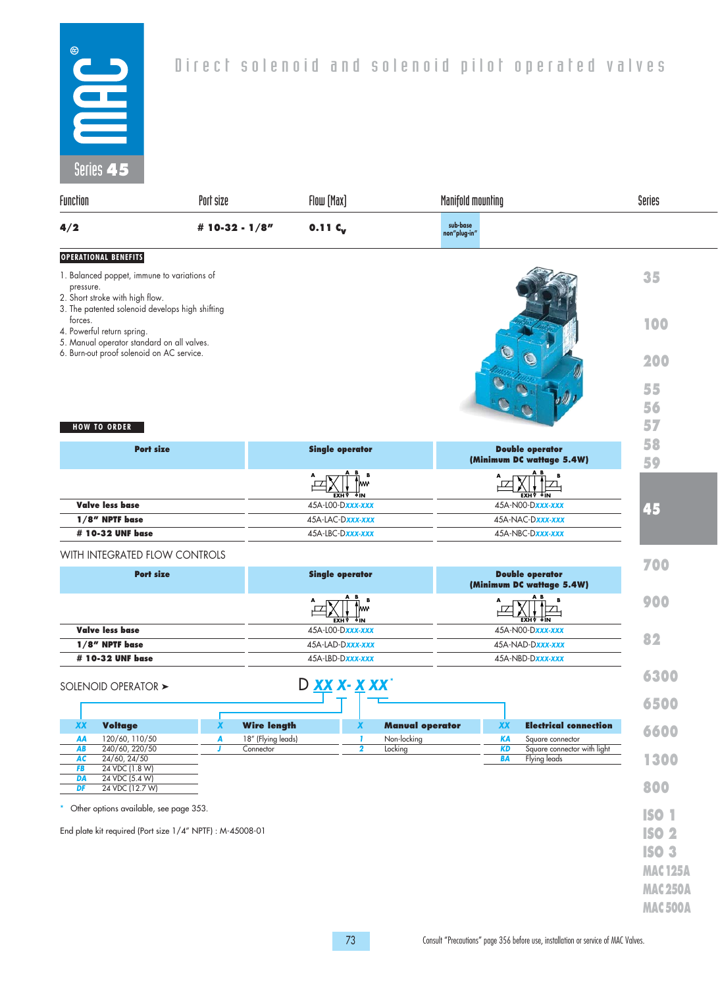

| JUIUJ 45                                                                                                                                       |                                        |                                                        |                                                                           |                |
|------------------------------------------------------------------------------------------------------------------------------------------------|----------------------------------------|--------------------------------------------------------|---------------------------------------------------------------------------|----------------|
| Function                                                                                                                                       | Port size                              | Flow [Max]                                             | Manifold mounting                                                         | Series         |
| 4/2                                                                                                                                            | # 10-32 - 1/8"                         | $0.11C_{v}$                                            | sub-base<br>non"plug-in"                                                  |                |
| <b>OPERATIONAL BENEFITS</b>                                                                                                                    |                                        |                                                        |                                                                           |                |
| 1. Balanced poppet, immune to variations of<br>pressure.<br>2. Short stroke with high flow.<br>3. The patented solenoid develops high shifting |                                        |                                                        |                                                                           | 35             |
| forces.<br>4. Powerful return spring.<br>5. Manual operator standard on all valves.<br>6. Burn-out proof solenoid on AC service.               |                                        |                                                        |                                                                           | 100            |
|                                                                                                                                                |                                        |                                                        |                                                                           | 200            |
|                                                                                                                                                |                                        |                                                        |                                                                           | 55             |
|                                                                                                                                                |                                        |                                                        |                                                                           | 56             |
| <b>HOW TO ORDER</b>                                                                                                                            |                                        |                                                        |                                                                           | 57             |
| <b>Port size</b>                                                                                                                               |                                        | <b>Single operator</b>                                 | <b>Double operator</b>                                                    | 58             |
|                                                                                                                                                |                                        |                                                        | (Minimum DC wattage 5.4W)                                                 | 59             |
|                                                                                                                                                |                                        | W۳<br>EXH A QIM                                        | <b>EXH</b> A QIM                                                          |                |
| <b>Valve less base</b>                                                                                                                         |                                        | 45A-LOO-Dxxx-xxx                                       | 45A-N00-Dxxx-xxx                                                          | 45             |
| 1/8" NPTF base                                                                                                                                 |                                        | 45A-LAC-Dxxx-xxx                                       | 45A-NAC-Dxxx-xxx                                                          |                |
| # 10-32 UNF base                                                                                                                               |                                        | 45A-LBC-Dxxx-xxx                                       | 45A-NBC-Dxxx-xxx                                                          |                |
| WITH INTEGRATED FLOW CONTROLS                                                                                                                  |                                        |                                                        |                                                                           | 700            |
| <b>Port size</b>                                                                                                                               |                                        | <b>Single operator</b>                                 | <b>Double operator</b><br>(Minimum DC wattage 5.4W)                       |                |
|                                                                                                                                                |                                        | W۳<br><b>EXH V OIN</b>                                 | <b>EXHY OIN</b>                                                           | 900            |
| <b>Valve less base</b>                                                                                                                         |                                        | 45A-L00-Dxxx-xxx                                       | 45A-N00-Dxxx-xxx                                                          |                |
| 1/8" NPTF base                                                                                                                                 |                                        | 45A-LAD-Dxxx-xxx                                       | 45A-NAD-Dxxx-xxx                                                          | 82             |
| # 10-32 UNF base                                                                                                                               |                                        | 45A-LBD-Dxxx-xxx                                       | 45A-NBD-Dxxx-xxx                                                          |                |
| SOLENOID OPERATOR >                                                                                                                            |                                        | D XX X- X XX'                                          |                                                                           | 6300           |
|                                                                                                                                                |                                        |                                                        |                                                                           | 6500           |
| <b>Voltage</b><br><b>XX</b>                                                                                                                    | $\boldsymbol{x}$<br><b>Wire length</b> | X                                                      | <b>Manual operator</b><br><b>XX</b><br><b>Electrical connection</b>       | 6600           |
| 120/60, 110/50<br>AA<br>240/60, 220/50<br>AB                                                                                                   | A<br>18" (Flying leads)<br>Connector   | Non-locking<br>1<br>$\overline{\mathbf{2}}$<br>Locking | <b>KA</b><br>Square connector<br><b>KD</b><br>Square connector with light |                |
| 24/60, 24/50<br>AC<br>24 VDC (1.8 W)<br>FB                                                                                                     |                                        |                                                        | <b>BA</b><br>Flying leads                                                 | 1300           |
| 24 VDC (5.4 W)<br>DA<br>24 VDC (12.7 W)<br>DF                                                                                                  |                                        |                                                        |                                                                           | 800            |
| Other options available, see page 353.                                                                                                         |                                        |                                                        |                                                                           | <b>ISO 1</b>   |
| End plate kit required (Port size 1/4" NPTF) : M-45008-01                                                                                      |                                        |                                                        |                                                                           | <b>ISO 2</b>   |
|                                                                                                                                                |                                        |                                                        |                                                                           | <b>ISO 3</b>   |
|                                                                                                                                                |                                        |                                                        |                                                                           |                |
|                                                                                                                                                |                                        |                                                        |                                                                           | <b>MAC125A</b> |
|                                                                                                                                                |                                        |                                                        |                                                                           | <b>MAC250A</b> |
|                                                                                                                                                |                                        |                                                        |                                                                           | <b>MAC500A</b> |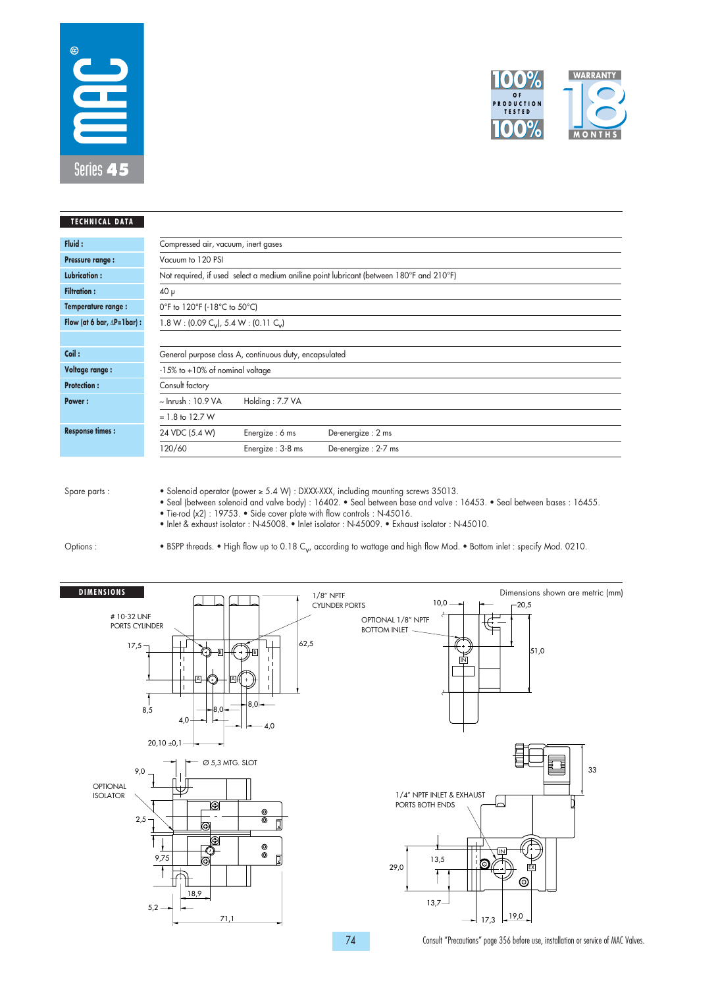



| <b>TECHNICAL DATA</b>                |                                                                 |                                                        |                                                                                         |  |  |  |  |  |  |
|--------------------------------------|-----------------------------------------------------------------|--------------------------------------------------------|-----------------------------------------------------------------------------------------|--|--|--|--|--|--|
| Fluid:                               |                                                                 | Compressed air, vacuum, inert gases                    |                                                                                         |  |  |  |  |  |  |
| <b>Pressure range:</b>               | Vacuum to 120 PSI                                               |                                                        |                                                                                         |  |  |  |  |  |  |
| <b>Lubrication:</b>                  |                                                                 |                                                        | Not required, if used select a medium aniline point lubricant (between 180°F and 210°F) |  |  |  |  |  |  |
| <b>Filtration:</b>                   | $40 \mu$                                                        |                                                        |                                                                                         |  |  |  |  |  |  |
| Temperature range:                   |                                                                 | 0°F to 120°F (-18°C to 50°C)                           |                                                                                         |  |  |  |  |  |  |
| Flow (at 6 bar, $\Delta P = 1$ bar): | $1.8 W$ : (0.09 C <sub>v</sub> ), 5.4 W: (0.11 C <sub>v</sub> ) |                                                        |                                                                                         |  |  |  |  |  |  |
|                                      |                                                                 |                                                        |                                                                                         |  |  |  |  |  |  |
| Coil:                                |                                                                 | General purpose class A, continuous duty, encapsulated |                                                                                         |  |  |  |  |  |  |
| Voltage range :                      | $-15\%$ to $+10\%$ of nominal voltage                           |                                                        |                                                                                         |  |  |  |  |  |  |
| <b>Protection:</b>                   | Consult factory                                                 |                                                        |                                                                                         |  |  |  |  |  |  |
| Power:                               | $\sim$ Inrush: 10.9 VA                                          | Holding: 7.7 VA                                        |                                                                                         |  |  |  |  |  |  |
|                                      | $= 1.8$ to 12.7 W                                               |                                                        |                                                                                         |  |  |  |  |  |  |
| <b>Response times:</b>               | 24 VDC (5.4 W)                                                  | Energize: 6 ms                                         | De-energize: 2 ms                                                                       |  |  |  |  |  |  |
|                                      | 120/60                                                          | Energize: 3-8 ms                                       | De-energize: 2-7 ms                                                                     |  |  |  |  |  |  |

• Solenoid operator (power ≥ 5.4 W) : DXXX-XXX, including mounting screws 35013.

• Seal (between solenoid and valve body) : 16402. • Seal between base and valve : 16453. • Seal between bases : 16455.

• Tie-rod (x2) : 19753. • Side cover plate with flow controls : N-45016.

• Inlet & exhaust isolator : N-45008. • Inlet isolator : N-45009. • Exhaust isolator : N-45010.

Options :

• BSPP threads. • High flow up to 0.18 C<sub>v</sub>, according to wattage and high flow Mod. • Bottom inlet : specify Mod. 0210.

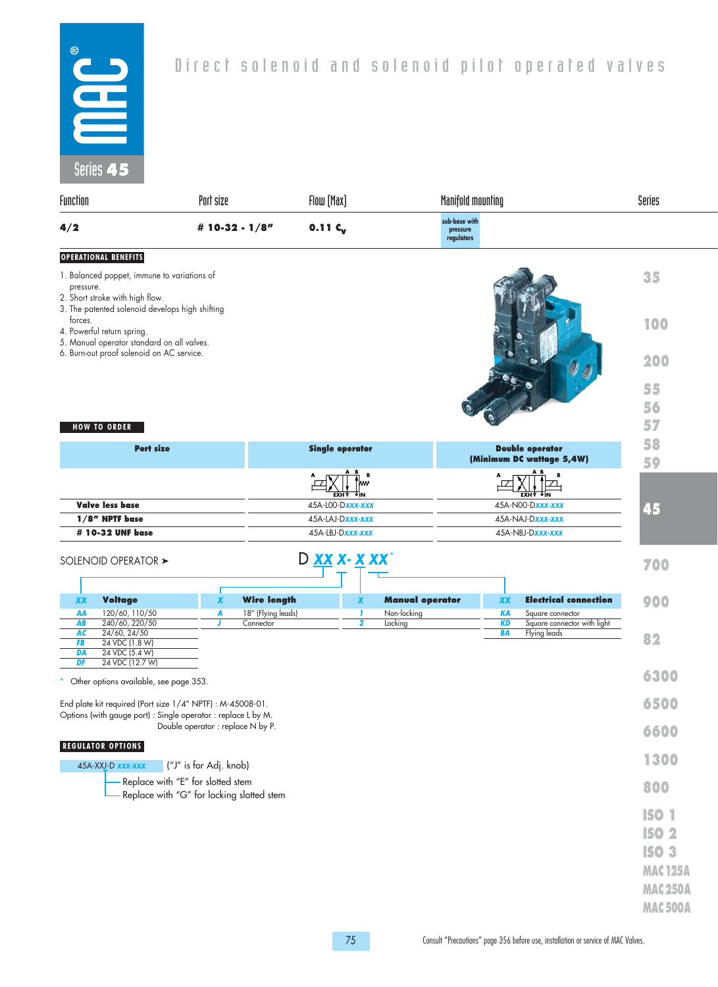

| JUIUS 4 J                             |                                                                                                                                   |                        |                                 |                        |                               |                                         |                   |                        |                                                 |                 |
|---------------------------------------|-----------------------------------------------------------------------------------------------------------------------------------|------------------------|---------------------------------|------------------------|-------------------------------|-----------------------------------------|-------------------|------------------------|-------------------------------------------------|-----------------|
| Function                              |                                                                                                                                   | Port size              |                                 | Flow [Max]             |                               |                                         | Manifold mounting |                        |                                                 | Series          |
| 4/2                                   |                                                                                                                                   | # 10-32 - $1/8"$       |                                 | $0.11C_{v}$            |                               | sub-base with<br>pressure<br>regulators |                   |                        |                                                 |                 |
| <b>OPERATIONAL BENEFITS</b>           |                                                                                                                                   |                        |                                 |                        |                               |                                         |                   |                        |                                                 |                 |
| pressure.                             | 1. Balanced poppet, immune to variations of<br>2. Short stroke with high flow.<br>3. The patented solenoid develops high shifting |                        |                                 |                        |                               |                                         |                   |                        |                                                 | 35              |
| forces.<br>4. Powerful return spring. | 5. Manual operator standard on all valves.                                                                                        |                        |                                 |                        |                               |                                         |                   |                        |                                                 | 100             |
|                                       | 6. Burn-out proof solenoid on AC service.                                                                                         |                        |                                 |                        |                               |                                         |                   |                        |                                                 | 200             |
|                                       |                                                                                                                                   |                        |                                 |                        |                               |                                         |                   |                        |                                                 | 55              |
|                                       |                                                                                                                                   |                        |                                 |                        |                               |                                         |                   |                        |                                                 | 56              |
| <b>HOW TO ORDER</b>                   |                                                                                                                                   |                        |                                 |                        |                               |                                         |                   |                        |                                                 | 57              |
|                                       | <b>Port size</b>                                                                                                                  |                        |                                 | <b>Single operator</b> |                               |                                         |                   |                        | <b>Double operator</b>                          | 58              |
|                                       |                                                                                                                                   |                        |                                 |                        |                               |                                         |                   |                        | (Minimum DC wattage 5,4W)                       | 59              |
|                                       |                                                                                                                                   |                        |                                 |                        | B<br>kw<br>কπ                 |                                         |                   |                        | <b>EXH</b> A QIM                                |                 |
| <b>Valve less base</b>                |                                                                                                                                   |                        |                                 | 45A-LOO-Dxxx-xxx       | EXH ⊽                         |                                         |                   |                        | 45A-N00-Dxxx-xxx                                | 45              |
|                                       | $1/8$ " NPTF base                                                                                                                 |                        |                                 | 45A-LAJ-Dxxx-xxx       |                               |                                         |                   |                        | 45A-NAJ-Dxxx-xxx                                |                 |
|                                       | # 10-32 UNF base                                                                                                                  |                        |                                 | 45A-LBJ-Dxxx-xxx       |                               |                                         |                   |                        | 45A-NBJ-Dxxx-xxx                                |                 |
|                                       | SOLENOID OPERATOR >                                                                                                               |                        |                                 | D XX X- X XX'          |                               |                                         |                   |                        |                                                 | 700             |
|                                       |                                                                                                                                   |                        |                                 |                        |                               |                                         |                   |                        |                                                 |                 |
| <b>XX</b>                             | <b>Voltage</b>                                                                                                                    | X                      | <b>Wire length</b>              |                        | X                             | <b>Manual operator</b>                  |                   | <b>XX</b>              | <b>Electrical connection</b>                    | 900             |
| AA<br>AB                              | 120/60, 110/50<br>240/60, 220/50                                                                                                  | A<br>J                 | 18" (Flying leads)<br>Connector |                        | -1<br>$\overline{\mathbf{2}}$ | Non-locking<br>Locking                  |                   | <b>KA</b><br><b>KD</b> | Square connector<br>Square connector with light |                 |
| AC                                    | 24/60, 24/50                                                                                                                      |                        |                                 |                        |                               |                                         |                   | BA                     | Flying leads                                    | 82              |
| FB<br>DA                              | 24 VDC (1.8 W)<br>24 VDC (5.4 W)                                                                                                  |                        |                                 |                        |                               |                                         |                   |                        |                                                 |                 |
| DF                                    | 24 VDC (12.7 W)                                                                                                                   |                        |                                 |                        |                               |                                         |                   |                        |                                                 | 6300            |
|                                       | Other options available, see page 353.                                                                                            |                        |                                 |                        |                               |                                         |                   |                        |                                                 |                 |
|                                       | End plate kit required (Port size 1/4" NPTF) : M-45008-01.<br>Options (with gauge port) : Single operator : replace L by M.       |                        |                                 |                        |                               |                                         |                   |                        |                                                 | 6500            |
| <b>REGULATOR OPTIONS</b>              | Double operator: replace N by P.                                                                                                  |                        |                                 |                        |                               |                                         |                   |                        |                                                 | 6600            |
|                                       | 45A-XXJ-D xxx-xxx                                                                                                                 | ("J" is for Adj. knob) |                                 |                        |                               |                                         |                   |                        |                                                 | 1300            |
|                                       | - Replace with "E" for slotted stem<br>Replace with "G" for locking slotted stem                                                  |                        |                                 |                        |                               |                                         |                   |                        |                                                 | 800             |
|                                       |                                                                                                                                   |                        |                                 |                        |                               |                                         |                   |                        |                                                 |                 |
|                                       |                                                                                                                                   |                        |                                 |                        |                               |                                         |                   |                        |                                                 | <b>ISO 1</b>    |
|                                       |                                                                                                                                   |                        |                                 |                        |                               |                                         |                   |                        |                                                 | <b>ISO 2</b>    |
|                                       |                                                                                                                                   |                        |                                 |                        |                               |                                         |                   |                        |                                                 | <b>ISO 3</b>    |
|                                       |                                                                                                                                   |                        |                                 |                        |                               |                                         |                   |                        |                                                 | <b>MAC 125A</b> |
|                                       |                                                                                                                                   |                        |                                 |                        |                               |                                         |                   |                        |                                                 | <b>MAC250A</b>  |
|                                       |                                                                                                                                   |                        |                                 |                        |                               |                                         |                   |                        |                                                 | <b>MAC500A</b>  |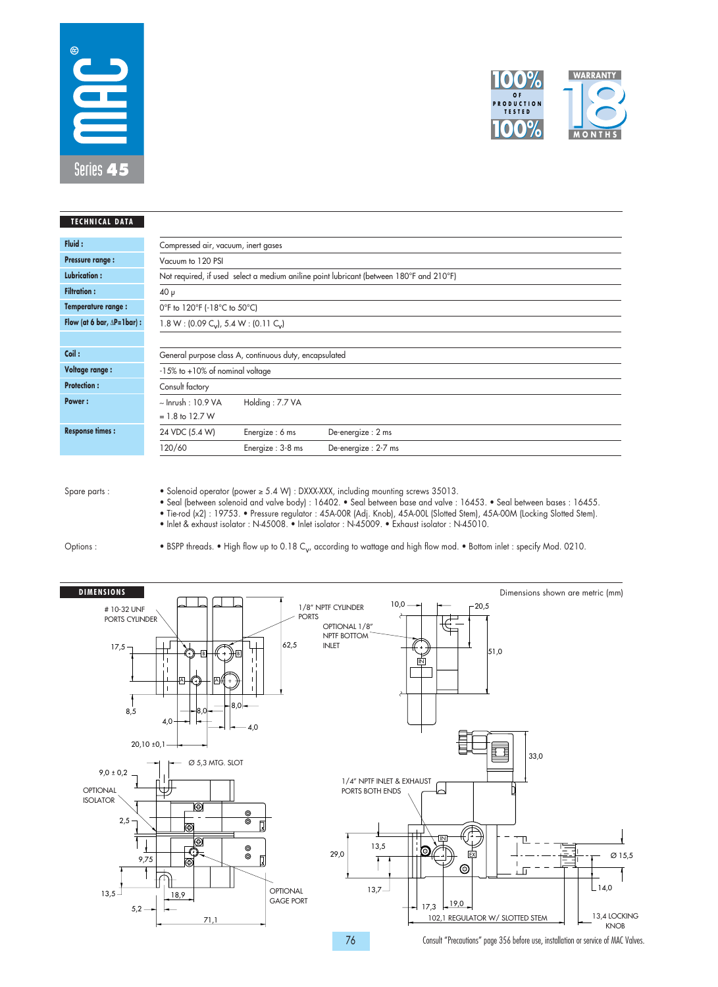



|                         | Compressed air, vacuum, inert gases                             |                                                                                                                                                                                            |  |  |  |  |  |
|-------------------------|-----------------------------------------------------------------|--------------------------------------------------------------------------------------------------------------------------------------------------------------------------------------------|--|--|--|--|--|
| Vacuum to 120 PSI       |                                                                 |                                                                                                                                                                                            |  |  |  |  |  |
|                         |                                                                 |                                                                                                                                                                                            |  |  |  |  |  |
| $40 \mu$                |                                                                 |                                                                                                                                                                                            |  |  |  |  |  |
|                         | 0°F to 120°F (-18°C to 50°C)                                    |                                                                                                                                                                                            |  |  |  |  |  |
|                         | $1.8 W$ : (0.09 C <sub>v</sub> ), 5.4 W: (0.11 C <sub>v</sub> ) |                                                                                                                                                                                            |  |  |  |  |  |
|                         |                                                                 |                                                                                                                                                                                            |  |  |  |  |  |
|                         |                                                                 |                                                                                                                                                                                            |  |  |  |  |  |
|                         |                                                                 |                                                                                                                                                                                            |  |  |  |  |  |
| Consult factory         |                                                                 |                                                                                                                                                                                            |  |  |  |  |  |
| $\sim$ Inrush : 10.9 VA | Holding: 7.7 VA                                                 |                                                                                                                                                                                            |  |  |  |  |  |
| $= 1.8$ to 12.7 W       |                                                                 |                                                                                                                                                                                            |  |  |  |  |  |
| 24 VDC (5.4 W)          | Energize: 6 ms                                                  | De-energize: 2 ms                                                                                                                                                                          |  |  |  |  |  |
| 120/60                  | Energize: 3-8 ms                                                | De-energize: 2-7 ms                                                                                                                                                                        |  |  |  |  |  |
|                         |                                                                 | Not required, if used select a medium aniline point lubricant (between 180°F and 210°F)<br>General purpose class A, continuous duty, encapsulated<br>$-15\%$ to $+10\%$ of nominal voltage |  |  |  |  |  |

• Solenoid operator (power ≥ 5.4 W) : DXXX-XXX, including mounting screws 35013.

• Seal (between solenoid and valve body) : 16402. • Seal between base and valve : 16453. • Seal between bases : 16455.

• Tie-rod (x2) : 19753. • Pressure regulator : 45A-00R (Adj. Knob), 45A-00L (Slotted Stem), 45A-00M (Locking Slotted Stem).

• Inlet & exhaust isolator : N-45008. • Inlet isolator : N-45009. • Exhaust isolator : N-45010.

Options :

• BSPP threads. • High flow up to 0.18 C<sub>v</sub>, according to wattage and high flow mod. • Bottom inlet : specify Mod. 0210.

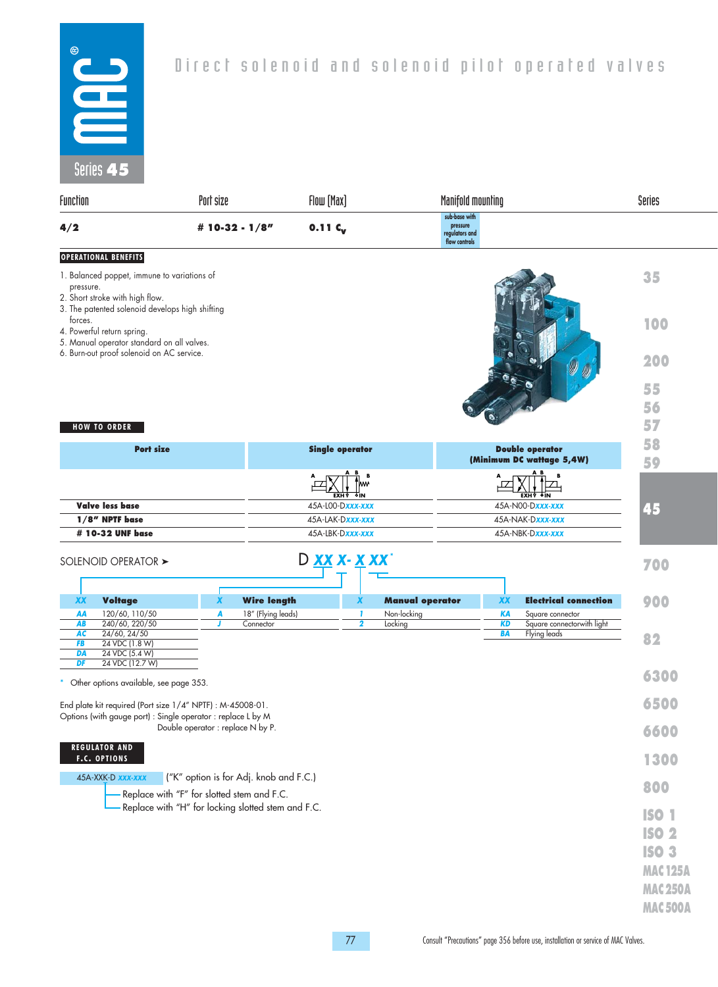

# Direct solenoid and solenoid pilot operated valves

| Function                                                                                                                               | Port size                                                                            | Flow [Max]                |                                    | <b>Manifold mounting</b>                                     | Series                                     |                                                                                                    |
|----------------------------------------------------------------------------------------------------------------------------------------|--------------------------------------------------------------------------------------|---------------------------|------------------------------------|--------------------------------------------------------------|--------------------------------------------|----------------------------------------------------------------------------------------------------|
| 4/2                                                                                                                                    | # 10-32 - $1/8"$                                                                     | $0.11C_{v}$               |                                    | sub-base with<br>pressure<br>regulators and<br>flow controls |                                            |                                                                                                    |
| <b>OPERATIONAL BENEFITS</b><br>1. Balanced poppet, immune to variations of<br>pressure.<br>2. Short stroke with high flow.             |                                                                                      |                           |                                    |                                                              |                                            | 35                                                                                                 |
| 3. The patented solenoid develops high shifting<br>forces.<br>4. Powerful return spring.<br>5. Manual operator standard on all valves. |                                                                                      |                           |                                    |                                                              |                                            | 100                                                                                                |
| 6. Burn-out proof solenoid on AC service.                                                                                              |                                                                                      |                           |                                    |                                                              |                                            | 200<br>55                                                                                          |
|                                                                                                                                        |                                                                                      |                           |                                    |                                                              |                                            | 56                                                                                                 |
| <b>HOW TO ORDER</b>                                                                                                                    |                                                                                      |                           |                                    |                                                              |                                            | 57                                                                                                 |
| <b>Port size</b>                                                                                                                       |                                                                                      | <b>Single operator</b>    |                                    |                                                              | <b>Double operator</b>                     | 58                                                                                                 |
|                                                                                                                                        |                                                                                      |                           |                                    |                                                              | (Minimum DC wattage 5,4W)                  | 59                                                                                                 |
|                                                                                                                                        |                                                                                      |                           |                                    |                                                              |                                            |                                                                                                    |
| <b>Valve less base</b>                                                                                                                 |                                                                                      | EXH V<br>45A-L00-Dxxx-xxx |                                    |                                                              | EXH∛<br>45A-N00-Dxxx-xxx                   |                                                                                                    |
| 1/8" NPTF base                                                                                                                         |                                                                                      | 45A-LAK-Dxxx-xxx          |                                    | 45A-NAK-Dxxx-xxx                                             | 45                                         |                                                                                                    |
| # 10-32 UNF base                                                                                                                       |                                                                                      | 45A-LBK-Dxxx-xxx          |                                    |                                                              | 45A-NBK-Dxxx-xxx                           |                                                                                                    |
| SOLENOID OPERATOR >                                                                                                                    |                                                                                      | D XX X- X XX              |                                    |                                                              |                                            | 700                                                                                                |
| <b>Voltage</b><br><b>XX</b>                                                                                                            | X                                                                                    | <b>Wire length</b>        | <b>Manual operator</b><br>X        | <b>XX</b>                                                    | <b>Electrical connection</b>               | 900                                                                                                |
| 120/60, 110/50<br>AA                                                                                                                   | A                                                                                    | 18" (Flying leads)        | Non-locking<br>-1                  | <b>KA</b>                                                    | Square connector                           |                                                                                                    |
| 240/60, 220/50<br>AB<br>AC<br>24/60, 24/50                                                                                             | Connector                                                                            |                           | $\overline{\mathbf{2}}$<br>Locking | <b>KD</b><br><b>BA</b>                                       | Square connectorwith light<br>Flying leads | 82                                                                                                 |
| 24 VDC (1.8 W)<br>FB<br>DA<br>24 VDC (5.4 W)                                                                                           |                                                                                      |                           |                                    |                                                              |                                            |                                                                                                    |
| DF<br>24 VDC (12.7 W)<br>Other options available, see page 353.                                                                        |                                                                                      |                           |                                    |                                                              |                                            | 6300                                                                                               |
| End plate kit required (Port size 1/4" NPTF) : M-45008-01.<br>Options (with gauge port) : Single operator : replace L by M             |                                                                                      |                           |                                    |                                                              |                                            | 6500                                                                                               |
|                                                                                                                                        | Double operator : replace N by P.                                                    |                           |                                    |                                                              |                                            | 6600                                                                                               |
| <b>REGULATOR AND</b><br><b>F.C. OPTIONS</b>                                                                                            |                                                                                      |                           |                                    |                                                              |                                            | 1300                                                                                               |
| 45A-XXK-D xxx-xxx                                                                                                                      | ("K" option is for Adj. knob and F.C.)<br>Replace with "F" for slotted stem and F.C. |                           |                                    |                                                              |                                            | 800                                                                                                |
|                                                                                                                                        | Replace with "H" for locking slotted stem and F.C.                                   |                           |                                    |                                                              |                                            | <b>ISO 1</b><br><b>ISO 2</b><br><b>ISO 3</b><br><b>MAC125A</b><br><b>MAC250A</b><br><b>MAC500A</b> |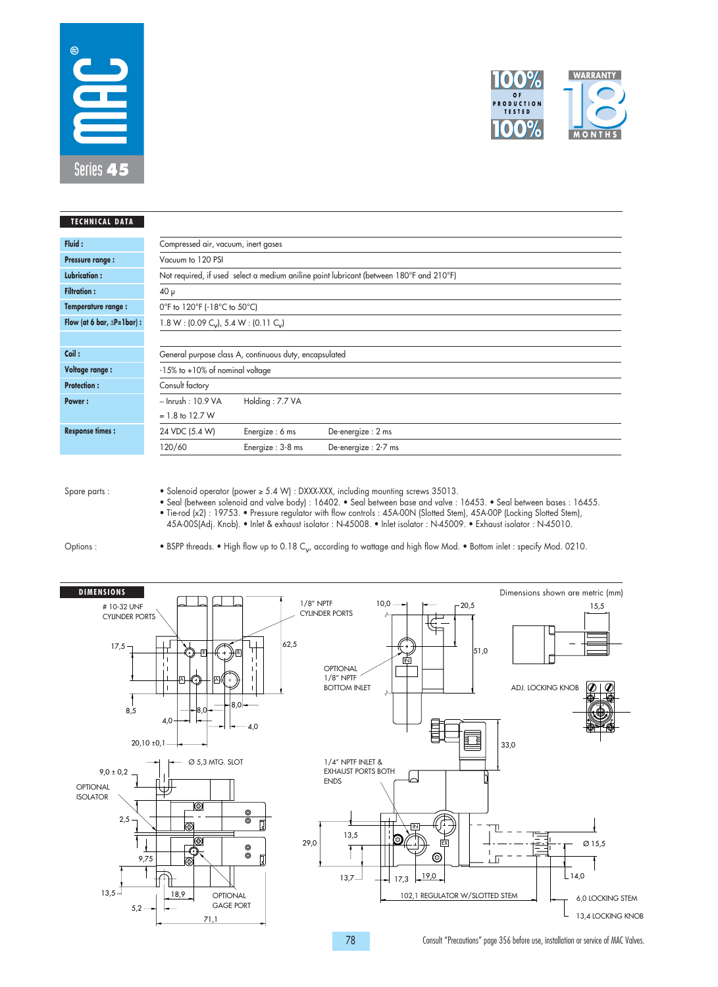



| <b>TECHNICAL DATA</b>                |                                                                                         |                                                        |                     |  |  |
|--------------------------------------|-----------------------------------------------------------------------------------------|--------------------------------------------------------|---------------------|--|--|
| Fluid:                               | Compressed air, vacuum, inert gases                                                     |                                                        |                     |  |  |
| <b>Pressure range:</b>               | Vacuum to 120 PSI                                                                       |                                                        |                     |  |  |
| <b>Lubrication:</b>                  | Not required, if used select a medium aniline point lubricant (between 180°F and 210°F) |                                                        |                     |  |  |
| <b>Filtration:</b>                   | $40 \mu$                                                                                |                                                        |                     |  |  |
| Temperature range:                   | 0°F to 120°F (-18°C to 50°C)                                                            |                                                        |                     |  |  |
| Flow (at 6 bar, $\Delta P = 1$ bar): | $1.8 W$ : (0.09 C <sub>v</sub> ), 5.4 W: (0.11 C <sub>v</sub> )                         |                                                        |                     |  |  |
|                                      |                                                                                         |                                                        |                     |  |  |
| Coil:                                |                                                                                         | General purpose class A, continuous duty, encapsulated |                     |  |  |
| <b>Voltage range:</b>                | $-15\%$ to $+10\%$ of nominal voltage                                                   |                                                        |                     |  |  |
| <b>Protection:</b>                   | Consult factory                                                                         |                                                        |                     |  |  |
| Power:                               | $\sim$ Inrush : 10.9 VA                                                                 | Holding: 7.7 VA                                        |                     |  |  |
|                                      | $= 1.8$ to 12.7 W                                                                       |                                                        |                     |  |  |
| <b>Response times:</b>               | 24 VDC (5.4 W)                                                                          | Energize: 6 ms                                         | De-energize: 2 ms   |  |  |
|                                      | 120/60                                                                                  | Energize: 3-8 ms                                       | De-energize: 2-7 ms |  |  |

• Solenoid operator (power ≥ 5.4 W) : DXXX-XXX, including mounting screws 35013.

• Seal (between solenoid and valve body) : 16402. • Seal between base and valve : 16453. • Seal between bases : 16455. • Tie-rod (x2) : 19753. • Pressure regulator with flow controls : 45A-00N (Slotted Stem), 45A-00P (Locking Slotted Stem), 45A-00S(Adj. Knob). • Inlet & exhaust isolator : N-45008. • Inlet isolator : N-45009. • Exhaust isolator : N-45010.

Options :

• BSPP threads. • High flow up to 0.18 C<sub>v</sub>, according to wattage and high flow Mod. • Bottom inlet : specify Mod. 0210.

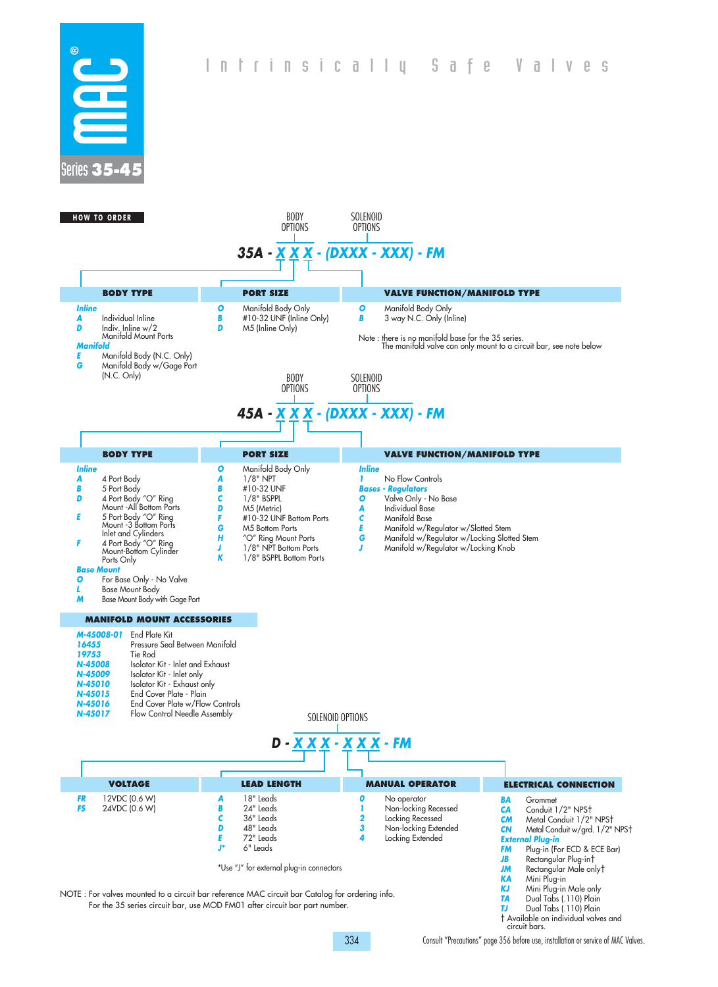



NOTE : For valves mounted to a circuit bar reference MAC circuit bar Catalog for ordering info. For the 35 series circuit bar, use MOD FM01 after circuit bar part number.

**JM** Rectangular Male only† **KA** Mini Plug-in **KJ** Mini Plug-in Male only **TA** Dual Tabs (.110) Plain **TJ** Dual Tabs (.110) Plain † Available on individual valves and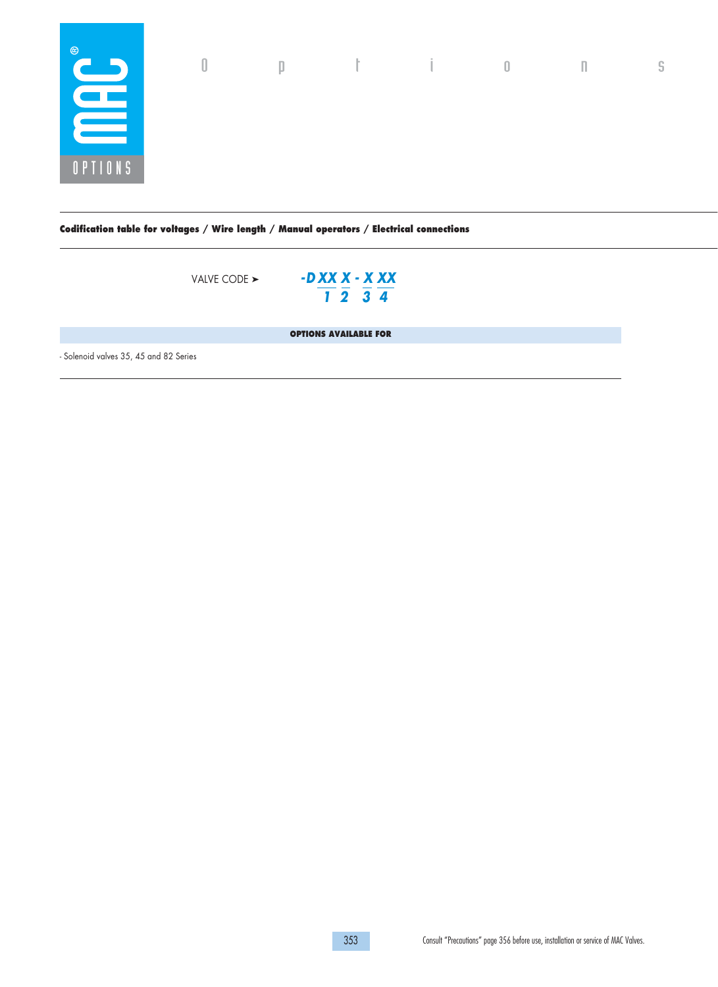

**Codification table for voltages / Wire length / Manual operators / Electrical connections**

VALVE CODE ➤

**- D XX X - X XX 1 2 3 4**

**OPTIONS AVAILABLE FOR** 

- Solenoid valves 35, 45 and 82 Series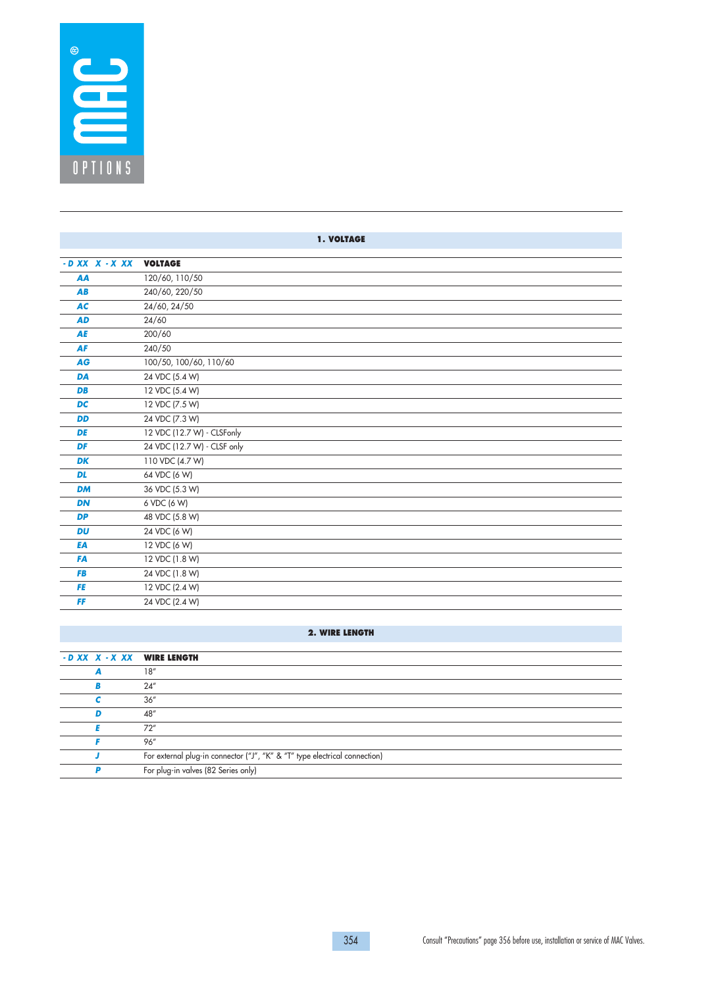

|                    | <b>1. VOLTAGE</b>           |
|--------------------|-----------------------------|
| $-D$ XX $X - X$ XX | <b>VOLTAGE</b>              |
| AA                 | 120/60, 110/50              |
| AB                 | 240/60, 220/50              |
| <b>AC</b>          | 24/60, 24/50                |
| <b>AD</b>          | 24/60                       |
| AE                 | 200/60                      |
| <b>AF</b>          | 240/50                      |
| <b>AG</b>          | 100/50, 100/60, 110/60      |
| <b>DA</b>          | 24 VDC (5.4 W)              |
| <b>DB</b>          | 12 VDC (5.4 W)              |
| <b>DC</b>          | 12 VDC (7.5 W)              |
| <b>DD</b>          | 24 VDC (7.3 W)              |
| DE                 | 12 VDC (12.7 W) - CLSFonly  |
| DF                 | 24 VDC (12.7 W) - CLSF only |
| <b>DK</b>          | 110 VDC (4.7 W)             |
| <b>DL</b>          | 64 VDC (6 W)                |
| <b>DM</b>          | 36 VDC (5.3 W)              |
| <b>DN</b>          | 6 VDC (6 W)                 |
| <b>DP</b>          | 48 VDC (5.8 W)              |
| <b>DU</b>          | 24 VDC (6 W)                |
| EA                 | 12 VDC (6 W)                |
| <b>FA</b>          | 12 VDC (1.8 W)              |
| <b>FB</b>          | 24 VDC (1.8 W)              |
| <b>FE</b>          | 12 VDC (2.4 W)              |
| FF                 | 24 VDC (2.4 W)              |

## **2. WIRE LENGTH**

|   | - D XX X - X XX WIRE LENGTH                                                |
|---|----------------------------------------------------------------------------|
|   | 18''                                                                       |
|   | 24''                                                                       |
|   | 36''                                                                       |
| D | 48"                                                                        |
|   | 72''                                                                       |
|   | 96"                                                                        |
|   | For external plug-in connector ("J", "K" & "T" type electrical connection) |
|   | For plug-in valves (82 Series only)                                        |
|   |                                                                            |